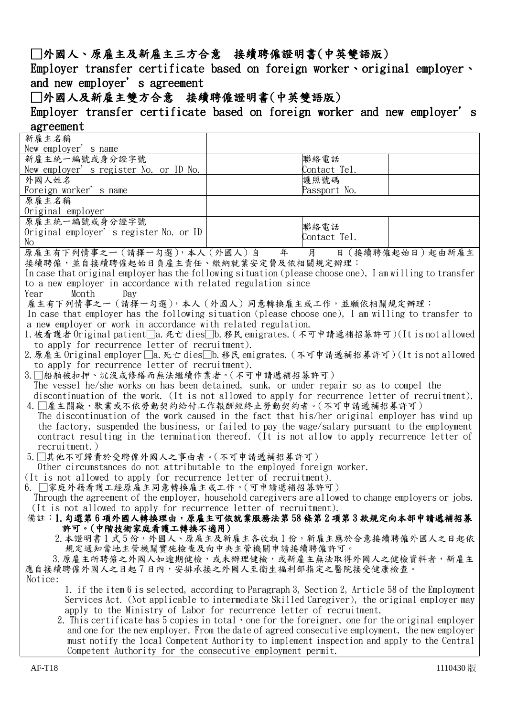## □外國人、原雇主及新雇主三方合意 接續聘僱證明書(中英雙語版)

Employer transfer certificate based on foreign worker · original employer · and new employer's agreement

## □外國人及新雇主雙方合意 接續聘僱證明書(中英雙語版)

Employer transfer certificate based on foreign worker and new employer's agreement

## 新雇主名稱 New employer's name 新雇主統一編號或身分證字號 New employer's register No. or ID No. 聯絡電話 Contact Tel. 外國人姓名 Foreign worker's name 護照號碼 Passport No. 原雇主名稱 Original employer 原雇主統一編號或身分證字號 Original employer's register No. or ID No 聯絡電話 Contact Tel. 原雇主有下列情事之ㄧ(請擇一勾選),本人(外國人)自 年 月 日(接續聘僱起始日)起由新雇主 接續聘僱,並自接續聘僱起始日負雇主責任、繳納就業安定費及依相關規定辦理: In case that original employer has the following situation (please choose one), I am willing to transfer to a new employer in accordance with related regulation since Year Month Day 雇主有下列情事之一(請擇一勾選),本人(外國人)同意轉換雇主或工作,並願依相關規定辦理: In case that employer has the following situation (please choose one), I am willing to transfer to a new employer or work in accordance with related regulation. 1.被看護者 Original patient□a.死亡 dies□b.移民 emigrates. (不可申請遞補招募許可)(It is not allowed to apply for recurrence letter of recruitment). 2.原雇主 Original employer □a.死亡 dies□b.移民 emigrates. (不可申請遞補招募許可)(It is not allowed to apply for recurrence letter of recruitment). 3.□船舶被扣押、沉沒或修繕而無法繼續作業者。(不可申請遞補招募許可) The vessel he/she works on has been detained, sunk, or under repair so as to compel the discontinuation of the work. (It is not allowed to apply for recurrence letter of recruitment). 4.□雇主關廠、歇業或不依勞動契約給付工作報酬經終止勞動契約者。(不可申請遞補招募許可) The discontinuation of the work caused in the fact that his/her original employer has wind up the factory, suspended the business, or failed to pay the wage/salary pursuant to the employment contract resulting in the termination thereof. (It is not allow to apply recurrence letter of recruitment.) 5.□其他不可歸責於受聘僱外國人之事由者。(不可申請遞補招募許可) Other circumstances do not attributable to the employed foreign worker. (It is not allowed to apply for recurrence letter of recruitment). 6. □家庭外籍看護工經原雇主同意轉換雇主或工作。(可申請遞補招募許可) Through the agreement of the employer, household caregivers are allowed to change employers or jobs. (It is not allowed to apply for recurrence letter of recruitment). 備註:1.勾選第6項外國人轉換理由,原雇主可依就業服務法第58條第2項第3款規定向本部申請遞補招募 許可。(中階技術家庭看護工轉換不適用) 2.本證明書1式5份,外國人、原雇主及新雇主各收執1份,新雇主應於合意接續聘僱外國人之日起依 規定通知當地主管機關實施檢查及向中央主管機關申請接續聘僱許可。 3. 原雇主所聘僱之外國人如逾期健檢,或未辦理健檢,或新雇主無法取得外國人之健檢資料者,新雇主 應自接續聘僱外國人之日起7日內,安排承接之外國人至衛生福利部指定之醫院接受健康檢查。 Notice: 1. if the item 6 is selected, according to Paragraph 3, Section 2, Article 58 of the Employment Services Act. (Not applicable to intermediate Skilled Caregiver), the original employer may apply to the Ministry of Labor for recurrence letter of recruitment. 2. This certificate has  $5$  copies in total, one for the foreigner, one for the original employer and one for the new employer. From the date of agreed consecutive employment, the new employer must notify the local Competent Authority to implement inspection and apply to the Central Competent Authority for the consecutive employment permit.